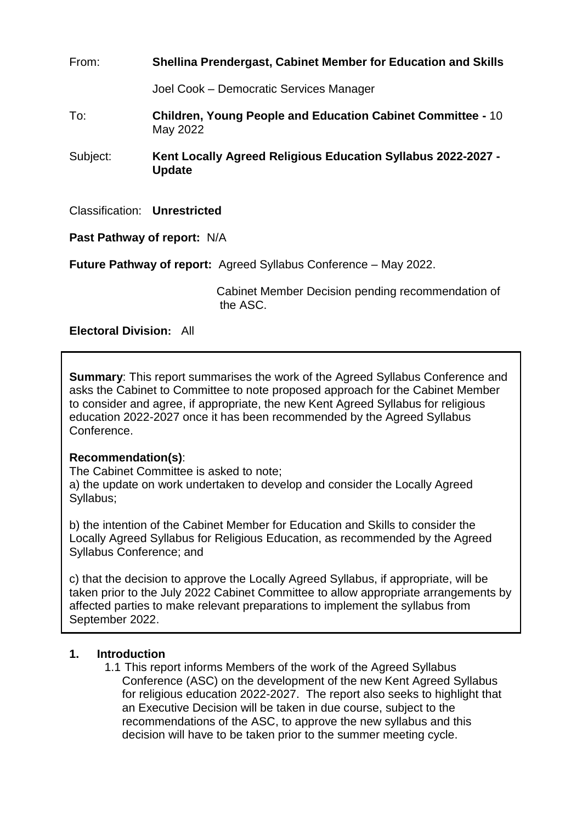From: **Shellina Prendergast, Cabinet Member for Education and Skills** Joel Cook – Democratic Services Manager To: **Children, Young People and Education Cabinet Committee -** 10 May 2022 Subject: **Kent Locally Agreed Religious Education Syllabus 2022-2027 - Update** Classification: **Unrestricted Past Pathway of report:** N/A

**Future Pathway of report:** Agreed Syllabus Conference – May 2022.

 Cabinet Member Decision pending recommendation of the ASC.

# **Electoral Division:** All

**Summary**: This report summarises the work of the Agreed Syllabus Conference and asks the Cabinet to Committee to note proposed approach for the Cabinet Member to consider and agree, if appropriate, the new Kent Agreed Syllabus for religious education 2022-2027 once it has been recommended by the Agreed Syllabus Conference.

#### **Recommendation(s)**:

The Cabinet Committee is asked to note;

a) the update on work undertaken to develop and consider the Locally Agreed Syllabus;

b) the intention of the Cabinet Member for Education and Skills to consider the Locally Agreed Syllabus for Religious Education, as recommended by the Agreed Syllabus Conference; and

c) that the decision to approve the Locally Agreed Syllabus, if appropriate, will be taken prior to the July 2022 Cabinet Committee to allow appropriate arrangements by affected parties to make relevant preparations to implement the syllabus from September 2022.

#### **1. Introduction**

1.1 This report informs Members of the work of the Agreed Syllabus Conference (ASC) on the development of the new Kent Agreed Syllabus for religious education 2022-2027. The report also seeks to highlight that an Executive Decision will be taken in due course, subject to the recommendations of the ASC, to approve the new syllabus and this decision will have to be taken prior to the summer meeting cycle.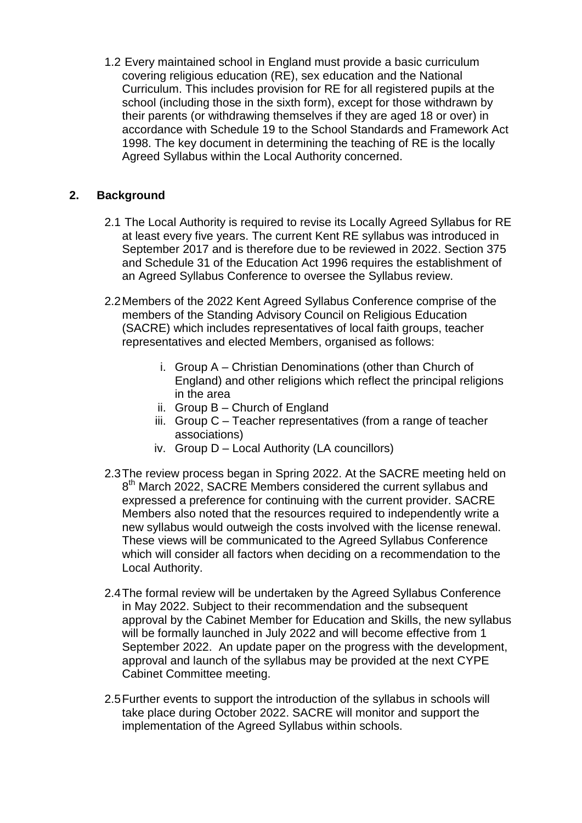1.2 Every maintained school in England must provide a basic curriculum covering religious education (RE), sex education and the National Curriculum. This includes provision for RE for all registered pupils at the school (including those in the sixth form), except for those withdrawn by their parents (or withdrawing themselves if they are aged 18 or over) in accordance with Schedule 19 to the School Standards and Framework Act 1998. The key document in determining the teaching of RE is the locally Agreed Syllabus within the Local Authority concerned.

# **2. Background**

- 2.1 The Local Authority is required to revise its Locally Agreed Syllabus for RE at least every five years. The current Kent RE syllabus was introduced in September 2017 and is therefore due to be reviewed in 2022. Section 375 and Schedule 31 of the Education Act 1996 requires the establishment of an Agreed Syllabus Conference to oversee the Syllabus review.
- 2.2Members of the 2022 Kent Agreed Syllabus Conference comprise of the members of the Standing Advisory Council on Religious Education (SACRE) which includes representatives of local faith groups, teacher representatives and elected Members, organised as follows:
	- i. Group A Christian Denominations (other than Church of England) and other religions which reflect the principal religions in the area
	- ii. Group B Church of England
	- iii. Group C Teacher representatives (from a range of teacher associations)
	- iv. Group D Local Authority (LA councillors)
- 2.3The review process began in Spring 2022. At the SACRE meeting held on 8<sup>th</sup> March 2022, SACRE Members considered the current syllabus and expressed a preference for continuing with the current provider. SACRE Members also noted that the resources required to independently write a new syllabus would outweigh the costs involved with the license renewal. These views will be communicated to the Agreed Syllabus Conference which will consider all factors when deciding on a recommendation to the Local Authority.
- 2.4The formal review will be undertaken by the Agreed Syllabus Conference in May 2022. Subject to their recommendation and the subsequent approval by the Cabinet Member for Education and Skills, the new syllabus will be formally launched in July 2022 and will become effective from 1 September 2022. An update paper on the progress with the development, approval and launch of the syllabus may be provided at the next CYPE Cabinet Committee meeting.
- 2.5Further events to support the introduction of the syllabus in schools will take place during October 2022. SACRE will monitor and support the implementation of the Agreed Syllabus within schools.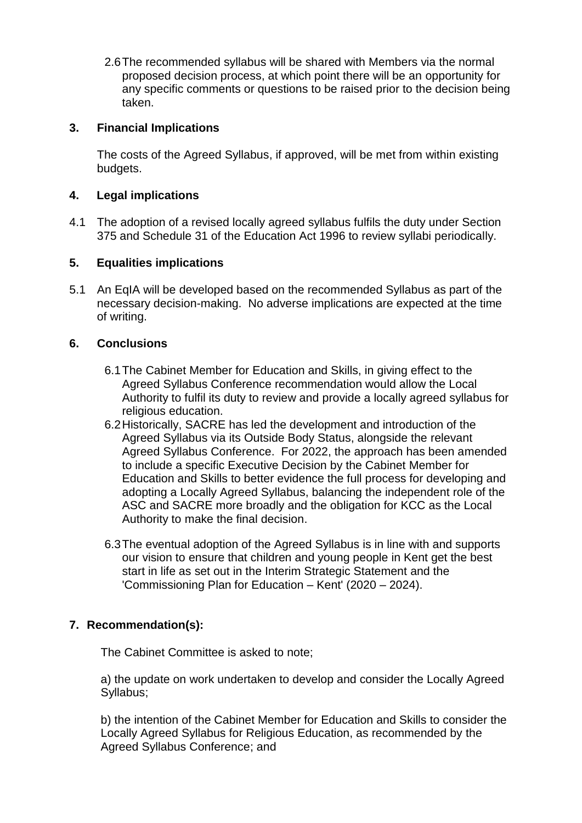2.6The recommended syllabus will be shared with Members via the normal proposed decision process, at which point there will be an opportunity for any specific comments or questions to be raised prior to the decision being taken.

## **3. Financial Implications**

The costs of the Agreed Syllabus, if approved, will be met from within existing budgets.

### **4. Legal implications**

4.1 The adoption of a revised locally agreed syllabus fulfils the duty under Section 375 and Schedule 31 of the Education Act 1996 to review syllabi periodically.

## **5. Equalities implications**

5.1 An EqIA will be developed based on the recommended Syllabus as part of the necessary decision-making. No adverse implications are expected at the time of writing.

## **6. Conclusions**

- 6.1The Cabinet Member for Education and Skills, in giving effect to the Agreed Syllabus Conference recommendation would allow the Local Authority to fulfil its duty to review and provide a locally agreed syllabus for religious education.
- 6.2Historically, SACRE has led the development and introduction of the Agreed Syllabus via its Outside Body Status, alongside the relevant Agreed Syllabus Conference. For 2022, the approach has been amended to include a specific Executive Decision by the Cabinet Member for Education and Skills to better evidence the full process for developing and adopting a Locally Agreed Syllabus, balancing the independent role of the ASC and SACRE more broadly and the obligation for KCC as the Local Authority to make the final decision.
- 6.3The eventual adoption of the Agreed Syllabus is in line with and supports our vision to ensure that children and young people in Kent get the best start in life as set out in the Interim Strategic Statement and the 'Commissioning Plan for Education – Kent' (2020 – 2024).

# **7. Recommendation(s):**

The Cabinet Committee is asked to note;

a) the update on work undertaken to develop and consider the Locally Agreed Syllabus;

b) the intention of the Cabinet Member for Education and Skills to consider the Locally Agreed Syllabus for Religious Education, as recommended by the Agreed Syllabus Conference; and